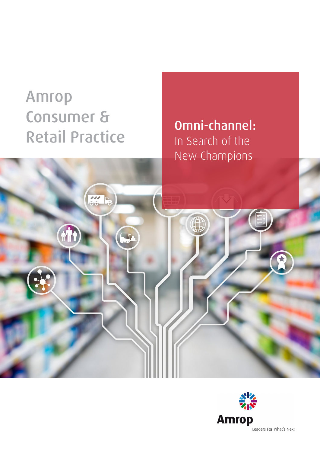# Amrop Consumer & **Retail Practice**

Omni-channel: In Search of the New Champions

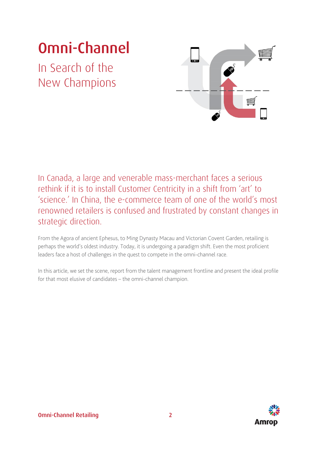# Omni-Channel

In Search of the New Champions



In Canada, a large and venerable mass-merchant faces a serious rethink if it is to install Customer Centricity in a shift from 'art' to 'science.' In China, the e-commerce team of one of the world's most renowned retailers is confused and frustrated by constant changes in strategic direction.

From the Agora of ancient Ephesus, to Ming Dynasty Macau and Victorian Covent Garden, retailing is perhaps the world's oldest industry. Today, it is undergoing a paradigm shift. Even the most proficient leaders face a host of challenges in the quest to compete in the omni-channel race.

In this article, we set the scene, report from the talent management frontline and present the ideal profile for that most elusive of candidates – the omni-channel champion.

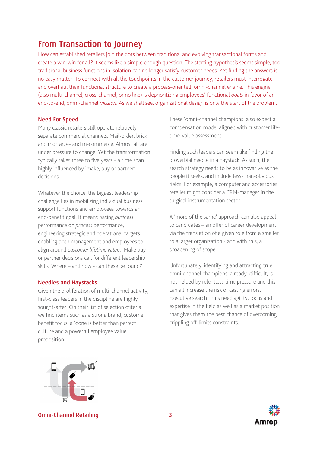# From Transaction to Journey

How can established retailers join the dots between traditional and evolving transactional forms and create a win-win for all? It seems like a simple enough question. The starting hypothesis seems simple, too: traditional business functions in isolation can no longer satisfy customer needs. Yet finding the answers is no easy matter. To connect with all the touchpoints in the customer journey, retailers must interrogate and overhaul their functional structure to create a process-oriented, omni-channel engine. This engine (also multi-channel, cross-channel, or no line) is deprioritizing employees' functional *goals* in favor of an end-to-end, omni-channel *mission*. As we shall see, organizational design is only the start of the problem.

#### Need For Speed

Many classic retailers still operate relatively separate commercial channels. Mail-order, brick and mortar, e- and m-commerce. Almost all are under pressure to change. Yet the transformation typically takes three to five years - a time span highly influenced by 'make, buy or partner' decisions.

Whatever the choice, the biggest leadership challenge lies in mobilizing individual business support functions and employees towards an end-benefit goal. It means basing *business* performance on *process* performance, engineering strategic and operational targets enabling both management and employees to align around *customer lifetime value*. Make buy or partner decisions call for different leadership skills. Where – and how - can these be found?

#### Needles and Haystacks

Given the proliferation of multi-channel activity, first-class leaders in the discipline are highly sought-after. On their list of selection criteria we find items such as a strong brand, customer benefit focus, a 'done is better than perfect' culture and a powerful employee value proposition.

These 'omni-channel champions' also expect a compensation model aligned with customer lifetime-value assessment.

Finding such leaders can seem like finding the proverbial needle in a haystack. As such, the search strategy needs to be as innovative as the people it seeks, and include less-than-obvious fields. For example, a computer and accessories retailer might consider a CRM-manager in the surgical instrumentation sector.

A 'more of the same' approach can also appeal to candidates – an offer of career development via the translation of a given role from a smaller to a larger organization - and with this, a broadening of scope.

Unfortunately, identifying and attracting true omni-channel champions, already difficult, is not helped by relentless time pressure and this can all increase the risk of casting errors. Executive search firms need agility, focus and expertise in the field as well as a market position that gives them the best chance of overcoming crippling off-limits constraints.



Omni-Channel Retailing 3

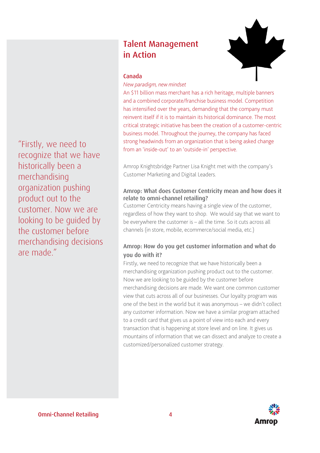"Firstly, we need to recognize that we have historically been a merchandising organization pushing product out to the customer. Now we are looking to be guided by the customer before merchandising decisions are made."

# Talent Management in Action



#### Canada

#### *New paradigm, new mindset*

An \$11 billion mass merchant has a rich heritage, multiple banners and a combined corporate/franchise business model. Competition has intensified over the years, demanding that the company must reinvent itself if it is to maintain its historical dominance. The most critical strategic initiative has been the creation of a customer-centric business model. Throughout the journey, the company has faced strong headwinds from an organization that is being asked change from an 'inside-out' to an 'outside-in' perspective.

Amrop Knightsbridge Partner Lisa Knight met with the company's Customer Marketing and Digital Leaders.

#### Amrop: What does Customer Centricity mean and how does it relate to omni-channel retailing?

Customer Centricity means having a single view of the customer, regardless of how they want to shop. We would say that we want to be everywhere the customer is – all the time. So it cuts across all channels (in store, mobile, ecommerce/social media, etc.)

## Amrop: How do you get customer information and what do you do with it?

Firstly, we need to recognize that we have historically been a merchandising organization pushing product out to the customer. Now we are looking to be guided by the customer before merchandising decisions are made. We want one common customer view that cuts across all of our businesses. Our loyalty program was one of the best in the world but it was anonymous – we didn't collect any customer information. Now we have a similar program attached to a credit card that gives us a point of view into each and every transaction that is happening at store level and on line. It gives us mountains of information that we can dissect and analyze to create a customized/personalized customer strategy.

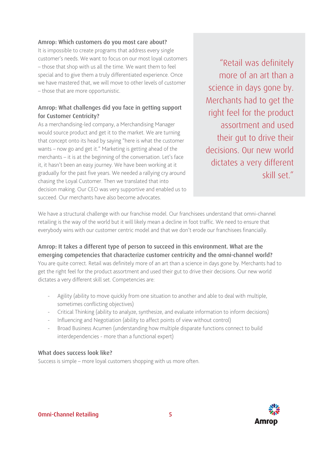### Amrop: Which customers do you most care about?

It is impossible to create programs that address every single customer's needs. We want to focus on our most loyal customers – those that shop with us all the time. We want them to feel special and to give them a truly differentiated experience. Once we have mastered that, we will move to other levels of customer – those that are more opportunistic.

# Amrop: What challenges did you face in getting support for Customer Centricity?

As a merchandising-led company, a Merchandising Manager would source product and get it to the market. We are turning that concept onto its head by saying "here is what the customer wants – now go and get it." Marketing is getting ahead of the merchants – it is at the beginning of the conversation. Let's face it, it hasn't been an easy journey. We have been working at it gradually for the past five years. We needed a rallying cry around chasing the Loyal Customer. Then we translated that into decision making. Our CEO was very supportive and enabled us to succeed. Our merchants have also become advocates.

"Retail was definitely more of an art than a science in days gone by. Merchants had to get the right feel for the product assortment and used their gut to drive their decisions. Our new world dictates a very different skill set."

We have a structural challenge with our franchise model. Our franchisees understand that omni-channel retailing is the way of the world but it will likely mean a decline in foot traffic. We need to ensure that everybody wins with our customer centric model and that we don't erode our franchisees financially.

## Amrop: It takes a different type of person to succeed in this environment. What are the emerging competencies that characterize customer centricity and the omni-channel world?

You are quite correct. Retail was definitely more of an art than a science in days gone by. Merchants had to get the right feel for the product assortment and used their gut to drive their decisions. Our new world dictates a very different skill set. Competencies are:

- Agility (ability to move quickly from one situation to another and able to deal with multiple, sometimes conflicting objectives)
- Critical Thinking (ability to analyze, synthesize, and evaluate information to inform decisions)
- Influencing and Negotiation (ability to affect points of view without control)
- Broad Business Acumen (understanding how multiple disparate functions connect to build interdependencies - more than a functional expert)

### What does success look like?

Success is simple – more loyal customers shopping with us more often.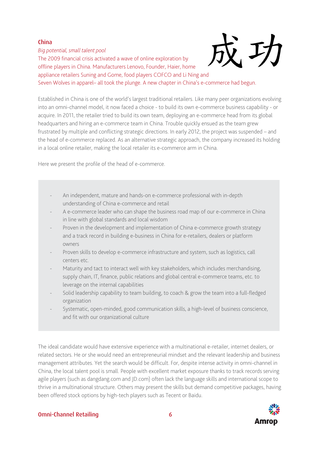### China

*Big potential, small talent pool* The 2009 financial crisis activated a wave of online exploration by offline players in China. Manufacturers Lenovo, Founder, Haier, home appliance retailers Suning and Gome, food players COFCO and Li Ning and



Seven Wolves in apparel– all took the plunge. A new chapter in China's e-commerce had begun.

Established in China is one of the world's largest traditional retailers. Like many peer organizations evolving into an omni-channel model, it now faced a choice - to build its own e-commerce business capability - or acquire. In 2011, the retailer tried to build its own team, deploying an e-commerce head from its global headquarters and hiring an e-commerce team in China. Trouble quickly ensued as the team grew frustrated by multiple and conflicting strategic directions. In early 2012, the project was suspended – and the head of e-commerce replaced. As an alternative strategic approach, the company increased its holding in a local online retailer, making the local retailer its e-commerce arm in China.

Here we present the profile of the head of e-commerce.

- An independent, mature and hands-on e-commerce professional with in-depth understanding of China e-commerce and retail
- A e-commerce leader who can shape the business road map of our e-commerce in China in line with global standards and local wisdom
- Proven in the development and implementation of China e-commerce growth strategy and a track record in building e-business in China for e-retailers, dealers or platform owners
- Proven skills to develop e-commerce infrastructure and system, such as logistics, call centers etc.
- Maturity and tact to interact well with key stakeholders, which includes merchandising, supply chain, IT, finance, public relations and global central e-commerce teams, etc. to leverage on the internal capabilities
- Solid leadership capability to team building, to coach & grow the team into a full-fledged organization
- Systematic, open-minded, good communication skills, a high-level of business conscience, and fit with our organizational culture

The ideal candidate would have extensive experience with a multinational e-retailer, internet dealers, or related sectors. He or she would need an entrepreneurial mindset and the relevant leadership and business management attributes. Yet the search would be difficult. For, despite intense activity in omni-channel in China, the local talent pool is small. People with excellent market exposure thanks to track records serving agile players (such as dangdang.com and JD.com) often lack the language skills and international scope to thrive in a multinational structure. Others may present the skills but demand competitive packages, having been offered stock options by high-tech players such as Tecent or Baidu.



### Omni-Channel Retailing 6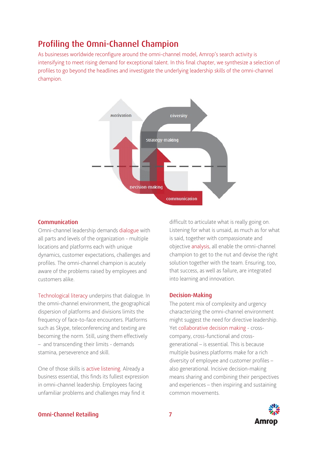# Profiling the Omni-Channel Champion

As businesses worldwide reconfigure around the omni-channel model, Amrop's search activity is intensifying to meet rising demand for exceptional talent. In this final chapter, we synthesize a selection of profiles to go beyond the headlines and investigate the underlying leadership skills of the omni-channel champion.



#### Communication

Omni-channel leadership demands dialogue with all parts and levels of the organization - multiple locations and platforms each with unique dynamics, customer expectations, challenges and profiles. The omni-channel champion is acutely aware of the problems raised by employees and customers alike.

Technological literacy underpins that dialogue. In the omni-channel environment, the geographical dispersion of platforms and divisions limits the frequency of face-to-face encounters. Platforms such as Skype, teleconferencing and texting are becoming the norm. Still, using them effectively – and transcending their limits - demands stamina, perseverence and skill.

One of those skills is active listening. Already a business essential, this finds its fullest expression in omni-channel leadership. Employees facing unfamiliar problems and challenges may find it

difficult to articulate what is really going on. Listening for what is unsaid, as much as for what is said, together with compassionate and objective analysis, all enable the omni-channel champion to get to the nut and devise the right solution together with the team. Ensuring, too, that success, as well as failure, are integrated into learning and innovation.

#### Decision-Making

The potent mix of complexity and urgency characterizing the omni-channel environment might suggest the need for directive leadership. Yet collaborative decision making - crosscompany, cross-functional and crossgenerational – is essential. This is because multiple business platforms make for a rich diversity of employee and customer profiles – also generational. Incisive decision-making means sharing and combining their perspectives and experiences – then inspiring and sustaining common movements.

#### Omni-Channel Retailing 7

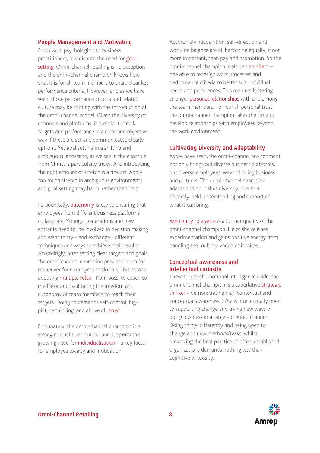#### People Management and Motivating

From work psychologists to business practitioners, few dispute the need for goal setting. Omni-channel retailing is no exception and the omni-channel champion knows how vital it is for all team members to share clear key performance criteria. However, and as we have seen, those performance criteria and related culture may be shifting with the introduction of the omni-channel model. Given the diversity of channels and platforms, it is easier to track targets and performance in a clear and objective way if these are set and communicated clearly upfront. Yet goal setting in a shifting and ambiguous landscape, as we see in the example from China, is particularly tricky. And introducing the right amount of stretch is a fine art. Apply too much stretch in ambiguous environments, and goal setting may harm, rather than help.

Paradoxically, autonomy is key to ensuring that employees from different business platforms collaborate. Younger generations and new entrants need to be involved in decision making and want to try – and exchange - different techniques and ways to achieve their results. Accordingly; after setting clear targets and goals, the omni-channel champion provides room for maneuver for employees to do this. This means adopting multiple roles - from boss, to coach to mediator and facilitating the freedom and autonomy of team members to reach their targets. Doing so demands self-control, bigpicture thinking, and above all, trust.

Fortunately, the omni-channel champion is a strong mutual trust-builder and supports the growing need for individualization – a key factor for employee loyalty and motivation.

Accordingly, recognition, self-direction and work-life balance are all becoming equally, if not more important, than pay and promotion. So the omni-channel champion is also an architect – one able to redesign work processes and performance criteria to better suit individual needs and preferences. This requires fostering stronger personal relationships with and among the team members. To nourish personal trust, the omni-channel champion takes the time to develop relationships with employees beyond the work environment.

#### Cultivating Diversity and Adaptability

As we have seen, the omni-channel environment not only brings out diverse business platforms, but diverse employees, ways of doing business and cultures. The omni-channel champion adapts and nourishes diversity, due to a sincerely-held understanding and support of what it can bring.

Ambiguity tolerance is a further quality of the omni-channel champion. He or she relishes experimentation and gains positive energy from handling the multiple variables it raises.

### Conceptual awareness and Intellectual curiosity

These facets of emotional intelligence aside, the omni-channel champion is a superlative strategic thinker – demonstrating high contextual and conceptual awareness. S/he is intellectually open to supporting change and trying new ways of doing business in a target-oriented manner. Doing things differently and being open to change and new methods/tasks, whilst preserving the best practice of often-established organizations demands nothing less than cognitive virtuosity.